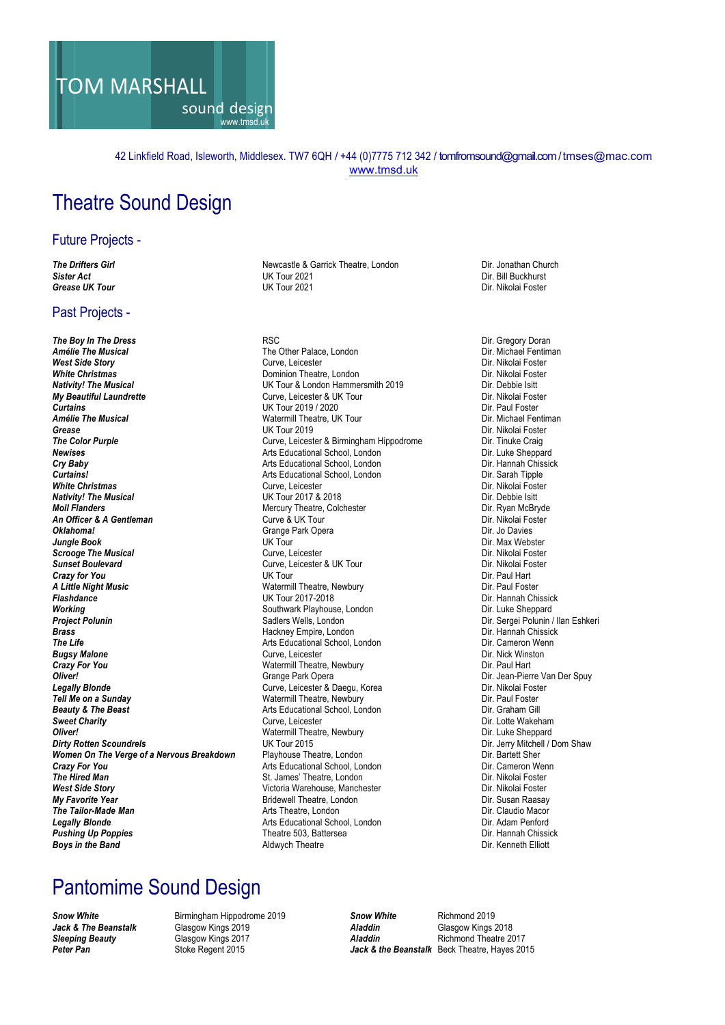

#### 42 Linkfield Road, Isleworth, Middlesex. TW7 6QH / +44 (0)7775 712 342 / tomfromsound@gmail.com/ tmses@mac.com www.tmsd.uk

#### Theatre Sound Design

#### Future Projects -

#### Past Projects -

**The Boy In The Dress RSC** RSC **Properties American Constructs Constructs** Dir. Gregory Doran **Amélie The Musical Constructs Constructs** The Other Palace, London **Constructs Constructs** Dir. Michael Fentiman **West Side Story Curve, Leicester Curve, Leicester Curve, Leicester Curve, Leicester Curve, Leicester Curve, Leicester Curve, Leicester Curve, Leicester Curve, Leicester Curve, Leicester Curve, Leicester Curve, Leicester C Nativity! The Musical and Community Community Community UK Tour & London Hammersmith 2019** Dir. Debbie Isitt **My Beautiful Laundrette Direction Curve** Curve. Leicester & UK Tour **Curve** Dir. Nikolai Foster **My Beautiful Laundrette** and the Curve, Leicester & UK Tour **Curve, Curve and The Curve** Curve of Curve and Curve Curve and Curve and Curve and Curve and Curve and Curve and Curve and Curve and Curve and Curve and Curve C *Curtains* UK Tour 2019 / 2020 Dir. Paul Foster **Grease Dir. Nikolai Foster** UK Tour 2019<br>Curve, Leicester & Birmingham Hippodrome **Dir. Tinuke Craig The Color Purple** Craig **Newises Arts Educational School, London** Dir. Luke Sheppard Christian Arts Educational School, London Christian Christian Dir. Luke Sheppard **Cry Baby Cry Baby Arts Educational School, London** Dir. Hannah Chissick **Curtains!** Dir. Hannah Chissick **Curtains! Curtains!**<br> **Arts Educational School, London**<br> **White Christmas** Curve, Leicester **White Christmas Curve, Leicester Curve, Leicester Curve, Leicester Curve, Leicester Dir. Nikolai Foster Dir. Nikolai Foster Nativity! The Musical Moll Flanders** Dir. Ryan McBryde **Mercury Theatre, Colchester** Mercury Theatre, Colchester **Music College College A**<br> **An Officer & A Gentleman Curve & UK Tour** College A Dir. Nikolai Foster **An Officer & A Gentleman Curve & UK Tour Curve A Dir. Nikolai Foster A** Dir. Nikolai Foster Curve A UK Tour Curve A Dir. Nikolai Foster Control Curve A UK Tour Channel Park Opera **Oklahoma!** Grange Park Opera Dir. Jo Davies<br> **Oklahoma!** Grange Park Opera **Direct Direct Direct Direct Direct Direct Direct Direct Direct Direct Direct Direct Direct Direct Direct Direct Direct Direct Direct Direct Direc** *Jungle Book* UK Tour Dir. Max Webster **Scrooge The Musical Curve, Leicester Curve, Leicester Curve, Leicester Curve, Leicester Curve, Leicester & UK<br>
Surve, Leicester & UK Tour Curve, Leicester & UK Tour Curve, Leicester & UK Tour Curve Curve Curve Curve Curve Crazy for You Direct Proposition Crazy for You and Direct Proposition Crazy for You Dir. Paul Hart A Little Night Music**<br> **Flashdance** Dir. Paul Foster Watermill Theatre, Newbury Channel Dir. Paul Foster UK Tour 2017-2018 *Flashdance* UK Tour 2017-2018 Dir. Hannah Chissick **Working**<br> **Project Polunin**<br> **Project Polunin**<br>
Sadlers Wells, London **Brass Hackney Empire, London The Life Chinese Chinese Chinese Chinese Chinese Chinese Chinese Chinese Chinese Chinese Chinese Chinese Chinese Chinese Chinese Chinese Chinese Chinese Chinese Chinese Chinese Chinese Chi Bugsy Malone Curve** Curve, Leicester **Crazy For You Crazy For You Watermill Theatre, Newbury Crazy For You Bart Dir. Paul Hart Oliver!<br>Crange Park Opera Oliver! Carry Community Community Community Community Community Community Community Community Community Community Community Community Community Community Community Community Community Community Community Community Commu** erially **Legally Blonde** Dir. Nikolai Foster Curve, Leicester & Daegu, Korea **Curve, Dir. Dir. Dir. Nikolai Foster**<br>Tell Me on a Sunday Curve All Theatre, Newbury Curve, Newbury Curve and Dir. Paul Foster **Tell Me on a Sunday Contract Contract Contract Contract Contract Contract Contract Contract Contract Contract Poster Contract Poster Beauty & The Beast Contract Poster Arts Educational School, London <b>Dir.** Graham Gill **Beauty & The Beast Arts Educational School, London Sweet Charity Curve**, Leicester **Oliver!** Theatre, Newbury Matermill Theatre, Newbury Dirty Rotten Scoundrels **Women On The Verge of a Nervous Breakdown** Playhouse Theatre, London **Crazy For You Dir. Bartett Sher**<br>Crazy For You Dir. Cameron Wenn Arts Educational School, London **Crazy For You** Crazy For You Crazy For You Arts Educational School, London Dir. Cameron Wenness The Hired Man St. James' Theatre. London Dir. Nikolai Foster **West Side Story Victoria Warehouse, Manchester Victoria Warehouse, Manchester** Dir. Nikolai Foster **Victoria Dir. Susan Raasay Dir. Susan Raasay My Favorite Year 1988 Propose Constructed Bridewell Theatre, London Constructed Bridewell Theatre, London Constructed Bridewell Theatre, London Dir. Claudio Macor Propose Construction Arts Theatre. London Dir. Claudio M The Tailor-Made Man**<br> **Arts Theatre, London Director Arts Theatre, London** Dir. Claudio Macor<br> **Arts Educational School London** Arts Theatre Dir. Adam Penford **Legally Blonde Arts Educational School, London** Dir. Adam Penford **Pushing Up Poppies Condon Pushing Up Poppies Condon Pushing Up Poppies Condon Pushing Up Poppies Condon Pushing Up Poppies Condon Pu Boys in the Band Aldwych Theatre Aldwych Theatre** 

**The Drifters Girl Newcastle & Garrick Theatre, London** Dir. Jonathan Church *Sister Act* UK Tour 2021 Dir. Bill Buckhurst *Grease UK Tour* UK Tour 2021 Dir. Nikolai Foster

**The Other Palace, London** Dir. Michael Fenting Curve. Leicester **Direction Curve.** Leicester **Dominion Theatre, London Watermill Theatre, UK Tour** *Curve, Leicester & Birmingham Hippodrome* Dir. Tinuke Craig *NK* Tour 2017 & 2018 **Surve, Leicester & UK Tour Curve, Leicester & UK Tour Curve, Leicester & UK Tour Dir. Nikolai Formation Curve Providers Wells, London National Communist Polynomia Communist Polynomia China America Communist Polynomia China Eshkeri<br>
Provider Polynomia China America China America China Dir. Hannah Chissick Arts Educational School, London The Life Constant Curve.** Leicester **Curve.** Leicester **Dir.** Curve. Leicester *Sweet Charity* Curve, Leicester Dir. Lotte Wakeham *Dirty Rotten Scoundrels* UK Tour 2015 Dir. Jerry Mitchell / Dom Shaw *St. James' Theatre, London* **Pushing Poppies Theatre 503, Battersea Director Poppiese Director Poppiese Director Poppiese Director Poppies**<br>Ald Poppies Dir. Kenneth Elliott

#### Pantomime Sound Design

**Snow White Birmingham Hippodrome 2019 Snow White** Richmond 2019<br> **Jack & The Beanstalk** Glasgow Kings 2019 **By Aladdin** Aladdin *Jack & The Beanstalk* Glasgow Kings 2019 *Aladdin* Glasgow Kings 2018 *Sleeping Beauty* Glasgow Kings 2017 *Aladdin* Richmond Theatre 2017 *Peter Pan* Stoke Regent 2015 *Jack & the Beanstalk* Beck Theatre, Hayes 2015